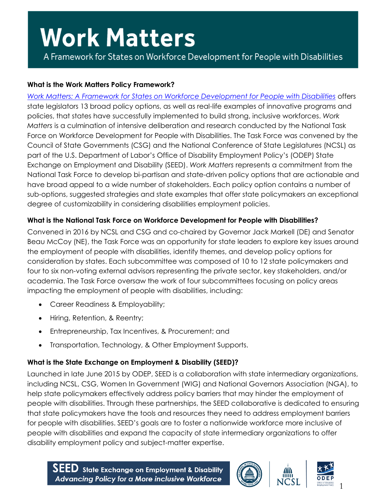A Framework for States on Workforce Development for People with Disabilities

### **What is the Work Matters Policy Framework?**

*[Work Matters: A Framework for States on Workforce Development for People with Disabilities](http://www.csg.org/NTPWD/documents/SEED_Report_2016.pdf)* offers state legislators 13 broad policy options, as well as real-life examples of innovative programs and policies, that states have successfully implemented to build strong, inclusive workforces. *Work Matters* is a culmination of intensive deliberation and research conducted by the National Task Force on Workforce Development for People with Disabilities. The Task Force was convened by the Council of State Governments (CSG) and the National Conference of State Legislatures (NCSL) as part of the U.S. Department of Labor's Office of Disability Employment Policy's (ODEP) State Exchange on Employment and Disability (SEED). *Work Matters* represents a commitment from the National Task Force to develop bi-partisan and state-driven policy options that are actionable and have broad appeal to a wide number of stakeholders. Each policy option contains a number of sub-options, suggested strategies and state examples that offer state policymakers an exceptional degree of customizability in considering disabilities employment policies.

### **What is the National Task Force on Workforce Development for People with Disabilities?**

Convened in 2016 by NCSL and CSG and co-chaired by Governor Jack Markell (DE) and Senator Beau McCoy (NE), the Task Force was an opportunity for state leaders to explore key issues around the employment of people with disabilities, identify themes, and develop policy options for consideration by states. Each subcommittee was composed of 10 to 12 state policymakers and four to six non-voting external advisors representing the private sector, key stakeholders, and/or academia. The Task Force oversaw the work of four subcommittees focusing on policy areas impacting the employment of people with disabilities, including:

- Career Readiness & Employability;
- Hiring, Retention, & Reentry;
- Entrepreneurship, Tax Incentives, & Procurement; and
- Transportation, Technology, & Other Employment Supports.

### **What is the State Exchange on Employment & Disability (SEED)?**

Launched in late June 2015 by ODEP, SEED is a collaboration with state intermediary organizations, including NCSL, CSG, Women In Government (WIG) and National Governors Association (NGA), to help state policymakers effectively address policy barriers that may hinder the employment of people with disabilities. Through these partnerships, the SEED collaborative is dedicated to ensuring that state policymakers have the tools and resources they need to address employment barriers for people with disabilities. SEED's goals are to foster a nationwide workforce more inclusive of people with disabilities and expand the capacity of state intermediary organizations to offer disability employment policy and subject-matter expertise.





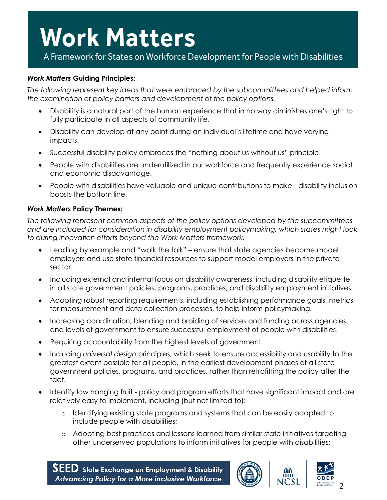A Framework for States on Workforce Development for People with Disabilities

#### *Work Matters* **Guiding Principles:**

*The following represent key ideas that were embraced by the subcommittees and helped inform the examination of policy barriers and development of the policy options.*

- Disability is a natural part of the human experience that in no way diminishes one's right to fully participate in all aspects of community life.
- Disability can develop at any point during an individual's lifetime and have varying impacts.
- Successful disability policy embraces the "nothing about us without us" principle.
- People with disabilities are underutilized in our workforce and frequently experience social and economic disadvantage.
- People with disabilities have valuable and unique contributions to make disability inclusion boosts the bottom line.

#### *Work Matters* **Policy Themes:**

*The following represent common aspects of the policy options developed by the subcommittees and are included for consideration in disability employment policymaking, which states might look to during innovation efforts beyond the Work Matters framework.*

- Leading by example and "walk the talk" ensure that state agencies become model employers and use state financial resources to support model employers in the private sector.
- Including external and internal focus on disability awareness, including disability etiquette, in all state government policies, programs, practices, and disability employment initiatives.
- Adopting robust reporting requirements, including establishing performance goals, metrics for measurement and data collection processes, to help inform policymaking.
- Increasing coordination, blending and braiding of services and funding across agencies and levels of government to ensure successful employment of people with disabilities.
- Requiring accountability from the highest levels of government.
- Including *universal design* principles, which seek to ensure accessibility and usability to the greatest extent possible for all people, in the earliest development phases of all state government policies, programs, and practices, rather than retrofitting the policy after the fact.
- Identify low hanging fruit policy and program efforts that have significant impact and are relatively easy to implement, including (but not limited to):
	- o Identifying existing state programs and systems that can be easily adapted to include people with disabilities;
	- o Adopting best practices and lessons learned from similar state initiatives targeting other underserved populations to inform initiatives for people with disabilities;

 $\mathsf{SEED}\nolimits$  state Exchange on Employment & Disability **Advancing Policy for a More inclusive Workforce** 





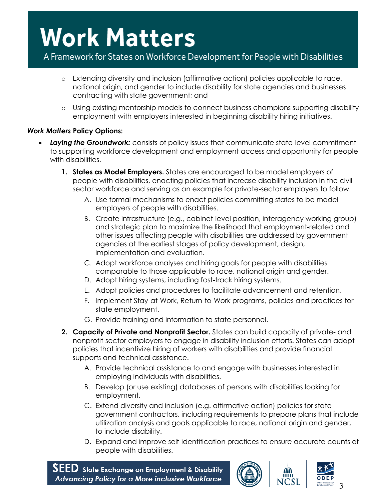### A Framework for States on Workforce Development for People with Disabilities

- o Extending diversity and inclusion (affirmative action) policies applicable to race, national origin, and gender to include disability for state agencies and businesses contracting with state government; and
- o Using existing mentorship models to connect business champions supporting disability employment with employers interested in beginning disability hiring initiatives.

### *Work Matters* **Policy Options:**

- *Laying the Groundwork:* consists of policy issues that communicate state-level commitment to supporting workforce development and employment access and opportunity for people with disabilities.
	- **1. States as Model Employers.** States are encouraged to be model employers of people with disabilities, enacting policies that increase disability inclusion in the civilsector workforce and serving as an example for private-sector employers to follow.
		- A. Use formal mechanisms to enact policies committing states to be model employers of people with disabilities.
		- B. Create infrastructure (e.g., cabinet-level position, interagency working group) and strategic plan to maximize the likelihood that employment-related and other issues affecting people with disabilities are addressed by government agencies at the earliest stages of policy development, design, implementation and evaluation.
		- C. Adopt workforce analyses and hiring goals for people with disabilities comparable to those applicable to race, national origin and gender.
		- D. Adopt hiring systems, including fast-track hiring systems.
		- E. Adopt policies and procedures to facilitate advancement and retention.
		- F. Implement Stay-at-Work, Return-to-Work programs, policies and practices for state employment.
		- G. Provide training and information to state personnel.
	- **2. Capacity of Private and Nonprofit Sector.** States can build capacity of private- and nonprofit-sector employers to engage in disability inclusion efforts. States can adopt policies that incentivize hiring of workers with disabilities and provide financial supports and technical assistance.
		- A. Provide technical assistance to and engage with businesses interested in employing individuals with disabilities.
		- B. Develop (or use existing) databases of persons with disabilities looking for employment.
		- C. Extend diversity and inclusion (e.g. affirmative action) policies for state government contractors, including requirements to prepare plans that include utilization analysis and goals applicable to race, national origin and gender, to include disability.
		- D. Expand and improve self-identification practices to ensure accurate counts of people with disabilities.

 $\textsf{SEED}\xspace$  state Exchange on Employment & Disability **Advancing Policy for a More inclusive Workforce** 





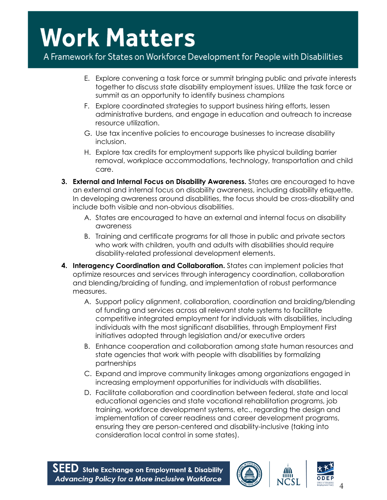A Framework for States on Workforce Development for People with Disabilities

- E. Explore convening a task force or summit bringing public and private interests together to discuss state disability employment issues. Utilize the task force or summit as an opportunity to identify business champions
- F. Explore coordinated strategies to support business hiring efforts, lessen administrative burdens, and engage in education and outreach to increase resource utilization.
- G. Use tax incentive policies to encourage businesses to increase disability inclusion.
- H. Explore tax credits for employment supports like physical building barrier removal, workplace accommodations, technology, transportation and child care.
- **3. External and Internal Focus on Disability Awareness.** States are encouraged to have an external and internal focus on disability awareness, including disability etiquette. In developing awareness around disabilities, the focus should be cross-disability and include both visible and non-obvious disabilities.
	- A. States are encouraged to have an external and internal focus on disability awareness
	- B. Training and certificate programs for all those in public and private sectors who work with children, youth and adults with disabilities should require disability-related professional development elements.
- **4. Interagency Coordination and Collaboration.** States can implement policies that optimize resources and services through interagency coordination, collaboration and blending/braiding of funding, and implementation of robust performance measures.
	- A. Support policy alignment, collaboration, coordination and braiding/blending of funding and services across all relevant state systems to facilitate competitive integrated employment for individuals with disabilities, including individuals with the most significant disabilities, through Employment First initiatives adopted through legislation and/or executive orders
	- B. Enhance cooperation and collaboration among state human resources and state agencies that work with people with disabilities by formalizing partnerships
	- C. Expand and improve community linkages among organizations engaged in increasing employment opportunities for individuals with disabilities.
	- D. Facilitate collaboration and coordination between federal, state and local educational agencies and state vocational rehabilitation programs, job training, workforce development systems, etc., regarding the design and implementation of career readiness and career development programs, ensuring they are person-centered and disability-inclusive (taking into consideration local control in some states).





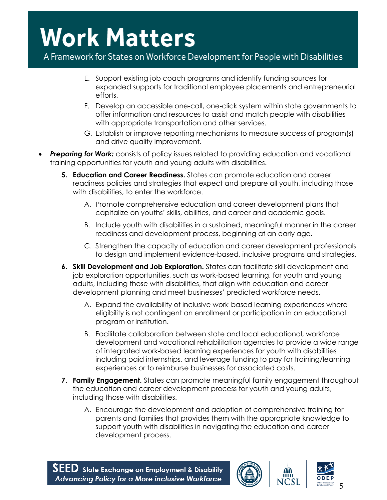### A Framework for States on Workforce Development for People with Disabilities

- E. Support existing job coach programs and identify funding sources for expanded supports for traditional employee placements and entrepreneurial efforts.
- F. Develop an accessible one-call, one-click system within state governments to offer information and resources to assist and match people with disabilities with appropriate transportation and other services.
- G. Establish or improve reporting mechanisms to measure success of program(s) and drive quality improvement.
- **Preparing for Work:** consists of policy issues related to providing education and vocational training opportunities for youth and young adults with disabilities.
	- **5. Education and Career Readiness.** States can promote education and career readiness policies and strategies that expect and prepare all youth, including those with disabilities, to enter the workforce.
		- A. Promote comprehensive education and career development plans that capitalize on youths' skills, abilities, and career and academic goals.
		- B. Include youth with disabilities in a sustained, meaningful manner in the career readiness and development process, beginning at an early age.
		- C. Strengthen the capacity of education and career development professionals to design and implement evidence-based, inclusive programs and strategies.
	- **6. Skill Development and Job Exploration.** States can facilitate skill development and job exploration opportunities, such as work-based learning, for youth and young adults, including those with disabilities, that align with education and career development planning and meet businesses' predicted workforce needs.
		- A. Expand the availability of inclusive work-based learning experiences where eligibility is not contingent on enrollment or participation in an educational program or institution.
		- B. Facilitate collaboration between state and local educational, workforce development and vocational rehabilitation agencies to provide a wide range of integrated work-based learning experiences for youth with disabilities including paid internships, and leverage funding to pay for training/learning experiences or to reimburse businesses for associated costs.
	- **7. Family Engagement.** States can promote meaningful family engagement throughout the education and career development process for youth and young adults, including those with disabilities.
		- A. Encourage the development and adoption of comprehensive training for parents and families that provides them with the appropriate knowledge to support youth with disabilities in navigating the education and career development process.





5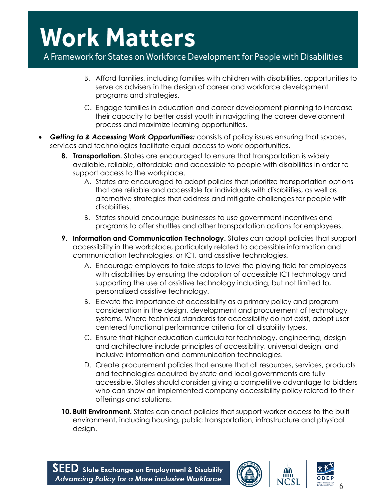A Framework for States on Workforce Development for People with Disabilities

- B. Afford families, including families with children with disabilities, opportunities to serve as advisers in the design of career and workforce development programs and strategies.
- C. Engage families in education and career development planning to increase their capacity to better assist youth in navigating the career development process and maximize learning opportunities.
- *Getting to & Accessing Work Opportunities:* consists of policy issues ensuring that spaces, services and technologies facilitate equal access to work opportunities.
	- **8. Transportation.** States are encouraged to ensure that transportation is widely available, reliable, affordable and accessible to people with disabilities in order to support access to the workplace.
		- A. States are encouraged to adopt policies that prioritize transportation options that are reliable and accessible for individuals with disabilities, as well as alternative strategies that address and mitigate challenges for people with disabilities.
		- B. States should encourage businesses to use government incentives and programs to offer shuttles and other transportation options for employees.
	- **9.** Information and Communication Technology. States can adopt policies that support accessibility in the workplace, particularly related to accessible information and communication technologies, or ICT, and assistive technologies.
		- A. Encourage employers to take steps to level the playing field for employees with disabilities by ensuring the adoption of accessible ICT technology and supporting the use of assistive technology including, but not limited to, personalized assistive technology.
		- B. Elevate the importance of accessibility as a primary policy and program consideration in the design, development and procurement of technology systems. Where technical standards for accessibility do not exist, adopt usercentered functional performance criteria for all disability types.
		- C. Ensure that higher education curricula for technology, engineering, design and architecture include principles of accessibility, universal design, and inclusive information and communication technologies.
		- D. Create procurement policies that ensure that all resources, services, products and technologies acquired by state and local governments are fully accessible. States should consider giving a competitive advantage to bidders who can show an implemented company accessibility policy related to their offerings and solutions.
	- **10. Built Environment.** States can enact policies that support worker access to the built environment, including housing, public transportation, infrastructure and physical design.